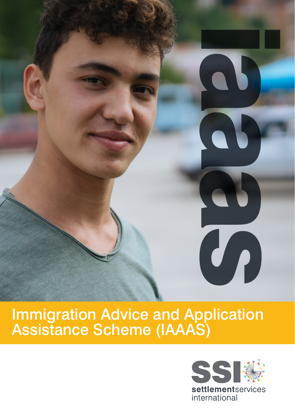

# **Immigration Advice and Application<br>Assistance Scheme (IAAAS)**

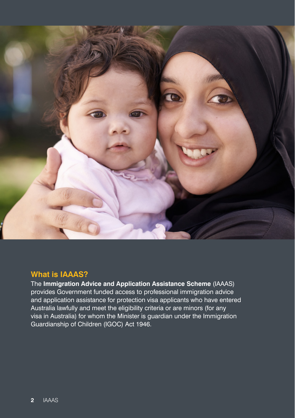

## **What is IAAAS?**

The **Immigration Advice and Application Assistance Scheme** (IAAAS) provides Government funded access to professional immigration advice and application assistance for protection visa applicants who have entered Australia lawfully and meet the eligibility criteria or are minors (for any visa in Australia) for whom the Minister is guardian under the Immigration Guardianship of Children (IGOC) Act 1946.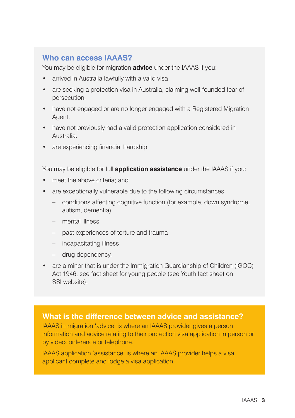## **Who can access IAAAS?**

You may be eligible for migration **advice** under the IAAAS if you:

- arrived in Australia lawfully with a valid visa
- are seeking a protection visa in Australia, claiming well-founded fear of persecution.
- have not engaged or are no longer engaged with a Registered Migration Agent.
- have not previously had a valid protection application considered in Australia.
- are experiencing financial hardship.

You may be eligible for full **application assistance** under the IAAAS if you:

- meet the above criteria; and
- are exceptionally vulnerable due to the following circumstances
	- conditions affecting cognitive function (for example, down syndrome, autism, dementia)
	- mental illness
	- past experiences of torture and trauma
	- incapacitating illness
	- drug dependency.
- are a minor that is under the Immigration Guardianship of Children (IGOC) Act 1946, see fact sheet for young people (see Youth fact sheet on SSI website).

#### **What is the difference between advice and assistance?**

IAAAS immigration 'advice' is where an IAAAS provider gives a person information and advice relating to their protection visa application in person or by videoconference or telephone.

IAAAS application 'assistance' is where an IAAAS provider helps a visa applicant complete and lodge a visa application.